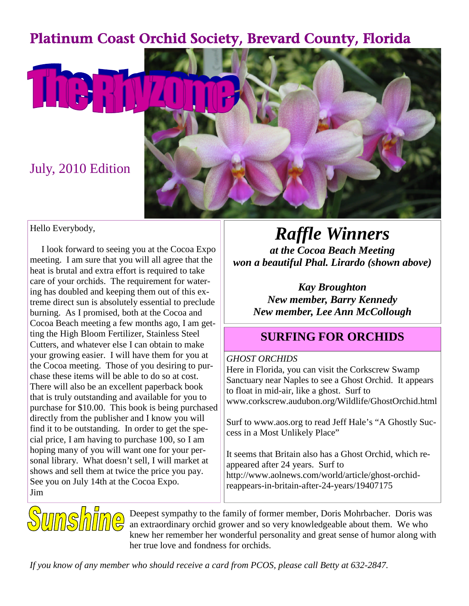## Platinum Coast Orchid Society, Brevard County, Florida



### Hello Everybody,

I look forward to seeing you at the Cocoa Expo meeting. I am sure that you will all agree that the heat is brutal and extra effort is required to take care of your orchids. The requirement for watering has doubled and keeping them out of this extreme direct sun is absolutely essential to preclude burning. As I promised, both at the Cocoa and Cocoa Beach meeting a few months ago, I am getting the High Bloom Fertilizer, Stainless Steel Cutters, and whatever else I can obtain to make your growing easier. I will have them for you at the Cocoa meeting. Those of you desiring to purchase these items will be able to do so at cost. There will also be an excellent paperback book that is truly outstanding and available for you to purchase for \$10.00. This book is being purchased directly from the publisher and I know you will find it to be outstanding. In order to get the special price, I am having to purchase 100, so I am hoping many of you will want one for your personal library. What doesn't sell, I will market at shows and sell them at twice the price you pay. See you on July 14th at the Cocoa Expo. Jim

*Raffle Winners at the Cocoa Beach Meeting won a beautiful Phal. Lirardo (shown above)*

> *Kay Broughton New member, Barry Kennedy New member, Lee Ann McCollough*

## **SURFING FOR ORCHIDS**

### *GHOST ORCHIDS*

Here in Florida, you can visit the Corkscrew Swamp Sanctuary near Naples to see a Ghost Orchid. It appears to float in mid-air, like a ghost. Surf to www.corkscrew.audubon.org/Wildlife/GhostOrchid.html

Surf to www.aos.org to read Jeff Hale's "A Ghostly Success in a Most Unlikely Place"

It seems that Britain also has a Ghost Orchid, which reappeared after 24 years. Surf to http://www.aolnews.com/world/article/ghost-orchidreappears-in-britain-after-24-years/19407175



Deepest sympathy to the family of former member, Doris Mohrbacher. Doris was an extraordinary orchid grower and so very knowledgeable about them. We who knew her remember her wonderful personality and great sense of humor along with her true love and fondness for orchids.

*If you know of any member who should receive a card from PCOS, please call Betty at 632-2847.*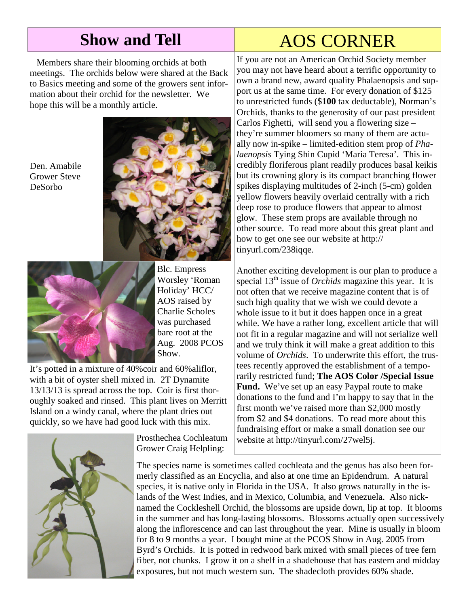# **Show and Tell** AOS CORNER

Members share their blooming orchids at both meetings. The orchids below were shared at the Back to Basics meeting and some of the growers sent information about their orchid for the newsletter. We hope this will be a monthly article.

Den. Amabile Grower Steve DeSorbo





Blc. Empress Worsley 'Roman Holiday' HCC/ AOS raised by Charlie Scholes was purchased bare root at the Aug. 2008 PCOS Show.

It's potted in a mixture of 40%coir and 60%aliflor, with a bit of oyster shell mixed in. 2T Dynamite 13/13/13 is spread across the top. Coir is first thoroughly soaked and rinsed. This plant lives on Merritt Island on a windy canal, where the plant dries out quickly, so we have had good luck with this mix.



Prosthechea Cochleatum Grower Craig Helpling:

If you are not an American Orchid Society member you may not have heard about a terrific opportunity to own a brand new, award quality Phalaenopsis and support us at the same time. For every donation of \$125 to unrestricted funds (\$**100** tax deductable), Norman's Orchids, thanks to the generosity of our past president Carlos Fighetti, will send you a flowering size – they're summer bloomers so many of them are actually now in-spike – limited-edition stem prop of *Phalaenopsis* Tying Shin Cupid 'Maria Teresa'. This incredibly floriferous plant readily produces basal keikis but its crowning glory is its compact branching flower spikes displaying multitudes of 2-inch (5-cm) golden yellow flowers heavily overlaid centrally with a rich deep rose to produce flowers that appear to almost glow. These stem props are available through no other source. To read more about this great plant and how to get one see our website at http:// tinyurl.com/238iqqe.

Another exciting development is our plan to produce a special 13<sup>th</sup> issue of *Orchids* magazine this year. It is not often that we receive magazine content that is of such high quality that we wish we could devote a whole issue to it but it does happen once in a great while. We have a rather long, excellent article that will not fit in a regular magazine and will not serialize well and we truly think it will make a great addition to this volume of *Orchids*. To underwrite this effort, the trustees recently approved the establishment of a temporarily restricted fund; **The AOS Color /Special Issue Fund.** We've set up an easy Paypal route to make donations to the fund and I'm happy to say that in the first month we've raised more than \$2,000 mostly from \$2 and \$4 donations. To read more about this fundraising effort or make a small donation see our website at http://tinyurl.com/27wel5j.

The species name is sometimes called cochleata and the genus has also been formerly classified as an Encyclia, and also at one time an Epidendrum. A natural species, it is native only in Florida in the USA. It also grows naturally in the islands of the West Indies, and in Mexico, Columbia, and Venezuela. Also nicknamed the Cockleshell Orchid, the blossoms are upside down, lip at top. It blooms in the summer and has long-lasting blossoms. Blossoms actually open successively along the inflorescence and can last throughout the year. Mine is usually in bloom for 8 to 9 months a year. I bought mine at the PCOS Show in Aug. 2005 from Byrd's Orchids. It is potted in redwood bark mixed with small pieces of tree fern fiber, not chunks. I grow it on a shelf in a shadehouse that has eastern and midday exposures, but not much western sun. The shadecloth provides 60% shade.